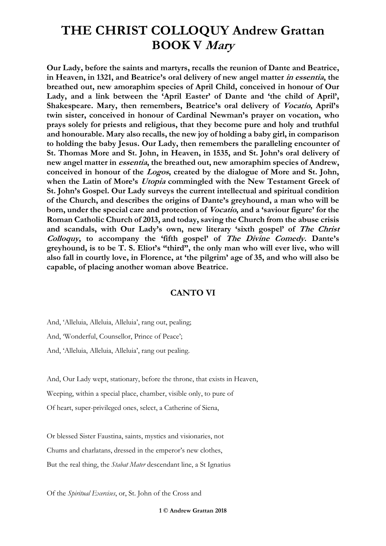**Our Lady, before the saints and martyrs, recalls the reunion of Dante and Beatrice, in Heaven, in 1321, and Beatrice's oral delivery of new angel matter in essentia, the breathed out, new amoraphim species of April Child, conceived in honour of Our Lady, and a link between the 'April Easter' of Dante and 'the child of April', Shakespeare. Mary, then remembers, Beatrice's oral delivery of Vocatio, April's twin sister, conceived in honour of Cardinal Newman's prayer on vocation, who prays solely for priests and religious, that they become pure and holy and truthful and honourable. Mary also recalls, the new joy of holding a baby girl, in comparison to holding the baby Jesus. Our Lady, then remembers the paralleling encounter of St. Thomas More and St. John, in Heaven, in 1535, and St. John's oral delivery of new angel matter in essentia, the breathed out, new amoraphim species of Andrew, conceived in honour of the Logos, created by the dialogue of More and St. John, when the Latin of More's Utopia commingled with the New Testament Greek of St. John's Gospel. Our Lady surveys the current intellectual and spiritual condition of the Church, and describes the origins of Dante's greyhound, a man who will be born, under the special care and protection of Vocatio, and a 'saviour figure' for the Roman Catholic Church of 2013, and today, saving the Church from the abuse crisis and scandals, with Our Lady's own, new literary 'sixth gospel' of The Christ Colloquy, to accompany the 'fifth gospel' of The Divine Comedy. Dante's greyhound, is to be T. S. Eliot's "third", the only man who will ever live, who will also fall in courtly love, in Florence, at 'the pilgrim' age of 35, and who will also be capable, of placing another woman above Beatrice.**

#### **CANTO VI**

And, 'Alleluia, Alleluia, Alleluia', rang out, pealing;

And, 'Wonderful, Counsellor, Prince of Peace';

And, 'Alleluia, Alleluia, Alleluia', rang out pealing.

And, Our Lady wept, stationary, before the throne, that exists in Heaven,

Weeping, within a special place, chamber, visible only, to pure of

Of heart, super-privileged ones, select, a Catherine of Siena,

Or blessed Sister Faustina, saints, mystics and visionaries, not Chums and charlatans, dressed in the emperor's new clothes, But the real thing, the *Stabat Mater* descendant line, a St Ignatius

Of the *Spiritual Exercises*, or, St. John of the Cross and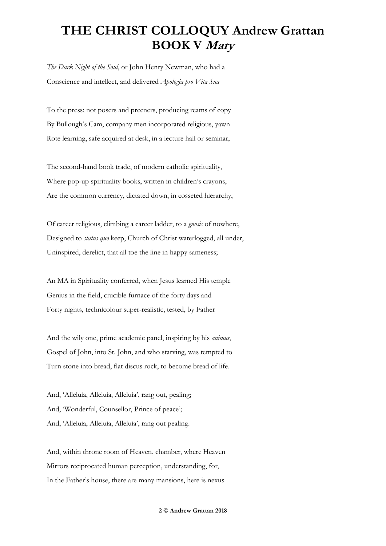*The Dark Night of the Soul*, or John Henry Newman, who had a Conscience and intellect, and delivered *Apologia pro Vita Sua*

To the press; not posers and preeners, producing reams of copy By Bullough's Cam, company men incorporated religious, yawn Rote learning, safe acquired at desk, in a lecture hall or seminar,

The second-hand book trade, of modern catholic spirituality, Where pop-up spirituality books, written in children's crayons, Are the common currency, dictated down, in cosseted hierarchy,

Of career religious, climbing a career ladder, to a *gnosis* of nowhere, Designed to *status quo* keep, Church of Christ waterlogged, all under, Uninspired, derelict, that all toe the line in happy sameness;

An MA in Spirituality conferred, when Jesus learned His temple Genius in the field, crucible furnace of the forty days and Forty nights, technicolour super-realistic, tested, by Father

And the wily one, prime academic panel, inspiring by his *animus*, Gospel of John, into St. John, and who starving, was tempted to Turn stone into bread, flat discus rock, to become bread of life.

And, 'Alleluia, Alleluia, Alleluia', rang out, pealing; And, 'Wonderful, Counsellor, Prince of peace'; And, 'Alleluia, Alleluia, Alleluia', rang out pealing.

And, within throne room of Heaven, chamber, where Heaven Mirrors reciprocated human perception, understanding, for, In the Father's house, there are many mansions, here is nexus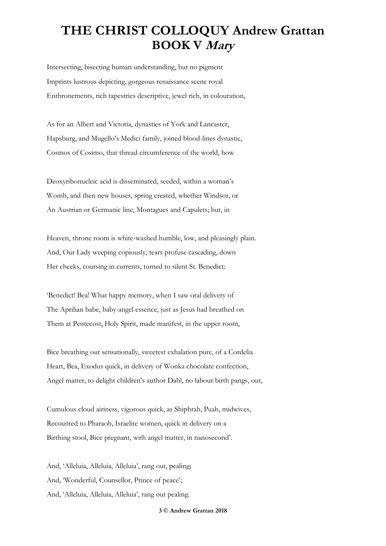Intersecting, bisecting human understanding, but no pigment Imprints lustrous depicting, gorgeous renaissance scene royal Enthronements, rich tapestries descriptive, jewel rich, in colouration,

As for an Albert and Victoria, dynasties of York and Lancaster, Hapsburg, and Mugello's Medici family, joined blood-lines dynastic, Cosmos of Cosimo, that thread circumference of the world, how

Deoxyribonucleic acid is disseminated, seeded, within a woman's Womb, and then new houses, spring created, whether Windsor, or An Austrian or Germanic line, Montagues and Capulets; but, in

Heaven, throne room is white-washed humble, low, and pleasingly plain. And, Our Lady weeping copiously, tears profuse cascading, down Her cheeks, coursing in currents, turned to silent St. Benedict:

'Benedict! Bea! What happy memory, when I saw oral delivery of The Aprilian babe, baby-angel essence, just as Jesus had breathed on Them at Pentecost, Holy Spirit, made manifest, in the upper room,

Bice breathing out sensationally, sweetest exhalation pure, of a Cordelia Heart, Bea, Exodus quick, in delivery of Wonka chocolate confection, Angel matter, to delight children's author Dahl, no labour birth pangs, out,

Cumulous cloud airiness, vigorous quick, as Shiphrah, Puah, midwives, Recounted to Pharaoh, Israelite women, quick in delivery on a Birthing stool, Bice pregnant, with angel matter, in nanosecond'.

And, 'Alleluia, Alleluia, Alleluia', rang out, pealing; And, 'Wonderful, Counsellor, Prince of peace'; And, 'Alleluia, Alleluia, Alleluia', rang out pealing.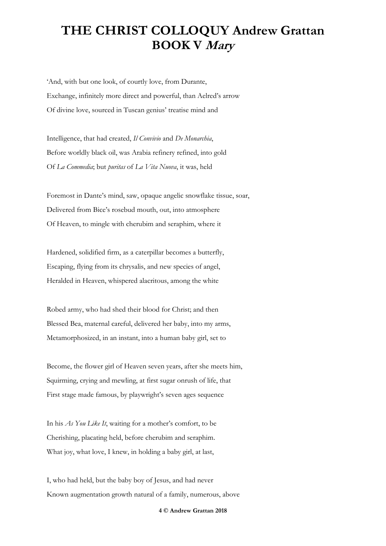'And, with but one look, of courtly love, from Durante, Exchange, infinitely more direct and powerful, than Aelred's arrow Of divine love, sourced in Tuscan genius' treatise mind and

Intelligence, that had created, *Il Convivio* and *De Monarchia*, Before worldly black oil, was Arabia refinery refined, into gold Of *La Commedia*; but *puritas* of *La Vita Nuova*, it was, held

Foremost in Dante's mind, saw, opaque angelic snowflake tissue, soar, Delivered from Bice's rosebud mouth, out, into atmosphere Of Heaven, to mingle with cherubim and seraphim, where it

Hardened, solidified firm, as a caterpillar becomes a butterfly, Escaping, flying from its chrysalis, and new species of angel, Heralded in Heaven, whispered alacritous, among the white

Robed army, who had shed their blood for Christ; and then Blessed Bea, maternal careful, delivered her baby, into my arms, Metamorphosized, in an instant, into a human baby girl, set to

Become, the flower girl of Heaven seven years, after she meets him, Squirming, crying and mewling, at first sugar onrush of life, that First stage made famous, by playwright's seven ages sequence

In his *As You Like It*, waiting for a mother's comfort, to be Cherishing, placating held, before cherubim and seraphim. What joy, what love, I knew, in holding a baby girl, at last,

I, who had held, but the baby boy of Jesus, and had never Known augmentation growth natural of a family, numerous, above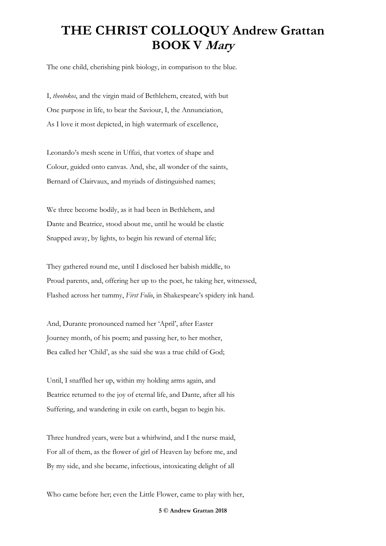The one child, cherishing pink biology, in comparison to the blue.

I, *theotokos*, and the virgin maid of Bethlehem, created, with but One purpose in life, to bear the Saviour, I, the Annunciation, As I love it most depicted, in high watermark of excellence,

Leonardo's mesh scene in Uffizi, that vortex of shape and Colour, guided onto canvas. And, she, all wonder of the saints, Bernard of Clairvaux, and myriads of distinguished names;

We three become bodily, as it had been in Bethlehem, and Dante and Beatrice, stood about me, until he would be elastic Snapped away, by lights, to begin his reward of eternal life;

They gathered round me, until I disclosed her babish middle, to Proud parents, and, offering her up to the poet, he taking her, witnessed, Flashed across her tummy, *First Folio*, in Shakespeare's spidery ink hand.

And, Durante pronounced named her 'April', after Easter Journey month, of his poem; and passing her, to her mother, Bea called her 'Child', as she said she was a true child of God;

Until, I snaffled her up, within my holding arms again, and Beatrice returned to the joy of eternal life, and Dante, after all his Suffering, and wandering in exile on earth, began to begin his.

Three hundred years, were but a whirlwind, and I the nurse maid, For all of them, as the flower of girl of Heaven lay before me, and By my side, and she became, infectious, intoxicating delight of all

Who came before her; even the Little Flower, came to play with her,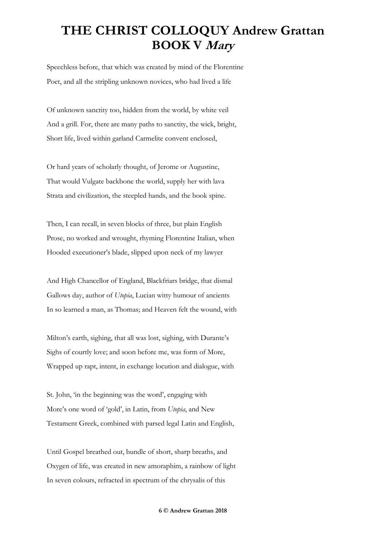Speechless before, that which was created by mind of the Florentine Poet, and all the stripling unknown novices, who had lived a life

Of unknown sanctity too, hidden from the world, by white veil And a grill. For, there are many paths to sanctity, the wick, bright, Short life, lived within garland Carmelite convent enclosed,

Or hard years of scholarly thought, of Jerome or Augustine, That would Vulgate backbone the world, supply her with lava Strata and civilization, the steepled hands, and the book spine.

Then, I can recall, in seven blocks of three, but plain English Prose, no worked and wrought, rhyming Florentine Italian, when Hooded executioner's blade, slipped upon neck of my lawyer

And High Chancellor of England, Blackfriars bridge, that dismal Gallows day, author of *Utopia*, Lucian witty humour of ancients In so learned a man, as Thomas; and Heaven felt the wound, with

Milton's earth, sighing, that all was lost, sighing, with Durante's Sighs of courtly love; and soon before me, was form of More, Wrapped up rapt, intent, in exchange locution and dialogue, with

St. John, 'in the beginning was the word', engaging with More's one word of 'gold', in Latin, from *Utopia*, and New Testament Greek, combined with parsed legal Latin and English,

Until Gospel breathed out, bundle of short, sharp breaths, and Oxygen of life, was created in new amoraphim, a rainbow of light In seven colours, refracted in spectrum of the chrysalis of this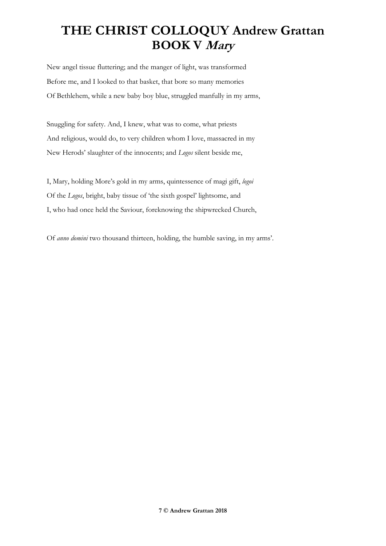New angel tissue fluttering; and the manger of light, was transformed Before me, and I looked to that basket, that bore so many memories Of Bethlehem, while a new baby boy blue, struggled manfully in my arms,

Snuggling for safety. And, I knew, what was to come, what priests And religious, would do, to very children whom I love, massacred in my New Herods' slaughter of the innocents; and *Logos* silent beside me,

I, Mary, holding More's gold in my arms, quintessence of magi gift, *logoi* Of the *Logos*, bright, baby tissue of 'the sixth gospel' lightsome, and I, who had once held the Saviour, foreknowing the shipwrecked Church,

Of *anno domini* two thousand thirteen, holding, the humble saving, in my arms'.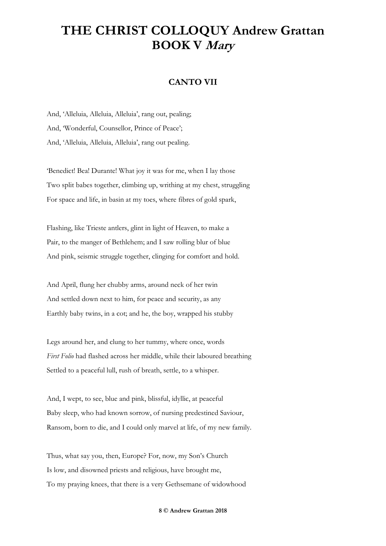#### **CANTO VII**

And, 'Alleluia, Alleluia, Alleluia', rang out, pealing; And, 'Wonderful, Counsellor, Prince of Peace'; And, 'Alleluia, Alleluia, Alleluia', rang out pealing.

'Benedict! Bea! Durante! What joy it was for me, when I lay those Two split babes together, climbing up, writhing at my chest, struggling For space and life, in basin at my toes, where fibres of gold spark,

Flashing, like Trieste antlers, glint in light of Heaven, to make a Pair, to the manger of Bethlehem; and I saw rolling blur of blue And pink, seismic struggle together, clinging for comfort and hold.

And April, flung her chubby arms, around neck of her twin And settled down next to him, for peace and security, as any Earthly baby twins, in a cot; and he, the boy, wrapped his stubby

Legs around her, and clung to her tummy, where once, words *First Folio* had flashed across her middle, while their laboured breathing Settled to a peaceful lull, rush of breath, settle, to a whisper.

And, I wept, to see, blue and pink, blissful, idyllic, at peaceful Baby sleep, who had known sorrow, of nursing predestined Saviour, Ransom, born to die, and I could only marvel at life, of my new family.

Thus, what say you, then, Europe? For, now, my Son's Church Is low, and disowned priests and religious, have brought me, To my praying knees, that there is a very Gethsemane of widowhood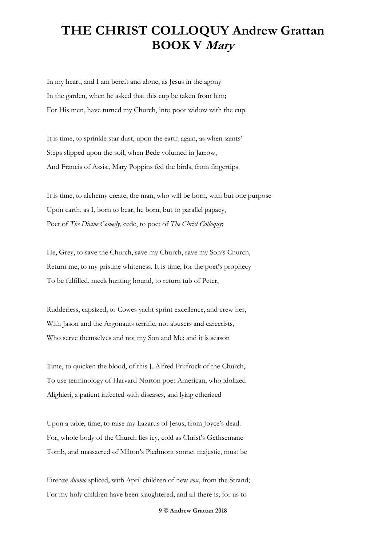In my heart, and I am bereft and alone, as Jesus in the agony In the garden, when he asked that this cup be taken from him; For His men, have turned my Church, into poor widow with the cup.

It is time, to sprinkle star dust, upon the earth again, as when saints' Steps slipped upon the soil, when Bede volumed in Jarrow, And Francis of Assisi, Mary Poppins fed the birds, from fingertips.

It is time, to alchemy create, the man, who will be born, with but one purpose Upon earth, as I, born to bear, he born, but to parallel papacy, Poet of *The Divine Comedy*, cede, to poet of *The Christ Colloquy*;

He, Grey, to save the Church, save my Church, save my Son's Church, Return me, to my pristine whiteness. It is time, for the poet's prophecy To be fulfilled, meek hunting hound, to return tub of Peter,

Rudderless, capsized, to Cowes yacht sprint excellence, and crew her, With Jason and the Argonauts terrific, not abusers and careerists, Who serve themselves and not my Son and Me; and it is season

Time, to quicken the blood, of this J. Alfred Prufrock of the Church, To use terminology of Harvard Norton poet American, who idolized Alighieri, a patient infected with diseases, and lying etherized

Upon a table, time, to raise my Lazarus of Jesus, from Joyce's dead. For, whole body of the Church lies icy, cold as Christ's Gethsemane Tomb, and massacred of Milton's Piedmont sonnet majestic, must be

Firenze *duomo* spliced, with April children of new *vox*, from the Strand; For my holy children have been slaughtered, and all there is, for us to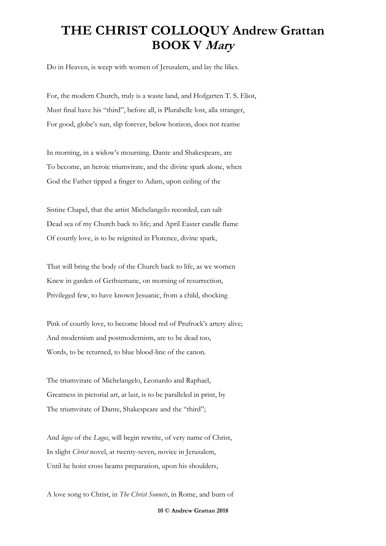Do in Heaven, is weep with women of Jerusalem, and lay the lilies.

For, the modern Church, truly is a waste land, and Hofgarten T. S. Eliot, Must final have his "third", before all, is Plurabelle lost, alla stranger, For good, globe's sun, slip forever, below horizon, does not rearise

In morning, in a widow's mourning. Dante and Shakespeare, are To become, an heroic triumvirate, and the divine spark alone, when God the Father tipped a finger to Adam, upon ceiling of the

Sistine Chapel, that the artist Michelangelo recorded, can salt Dead sea of my Church back to life; and April Easter candle flame Of courtly love, is to be reignited in Florence, divine spark,

That will bring the body of the Church back to life, as we women Knew in garden of Gethsemane, on morning of resurrection, Privileged few, to have known Jesuanic, from a child, shocking

Pink of courtly love, to become blood red of Prufrock's artery alive; And modernism and postmodernism, are to be dead too, Words, to be returned, to blue blood-line of the canon.

The triumvirate of Michelangelo, Leonardo and Raphael, Greatness in pictorial art, at last, is to be paralleled in print, by The triumvirate of Dante, Shakespeare and the "third";

And *logos* of the *Logos*, will begin rewrite, of very name of Christ, In slight *Christ* novel, at twenty-seven, novice in Jerusalem, Until he hoist cross beams preparation, upon his shoulders,

A love song to Christ, in *The Christ Sonnets*, in Rome, and burn of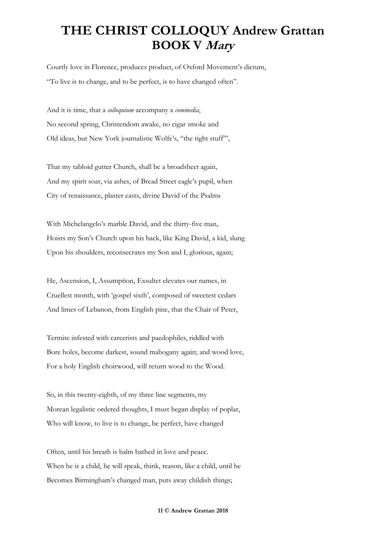Courtly love in Florence, produces product, of Oxford Movement's dictum, "To live is to change, and to be perfect, is to have changed often".

And it is time, that a *colloquium* accompany a *commedia*, No second spring, Christendom awake, no cigar smoke and Old ideas, but New York journalistic Wolfe's, "the right stuff"',

That my tabloid gutter Church, shall be a broadsheet again, And my spirit soar, via ashes, of Bread Street eagle's pupil, when City of renaissance, plaster casts, divine David of the Psalms

With Michelangelo's marble David, and the thirty-five man, Hoists my Son's Church upon his back, like King David, a kid, slung Upon his shoulders, reconsecrates my Son and I, glorious, again;

He, Ascension, I, Assumption, Exsultet elevates our names, in Cruellest month, with 'gospel sixth', composed of sweetest cedars And limes of Lebanon, from English pine, that the Chair of Peter,

Termite infested with careerists and paedophiles, riddled with Bore holes, become darkest, sound mahogany again; and wood love, For a holy English choirwood, will return wood to the Wood.

So, in this twenty-eighth, of my three line segments, my Morean legalistic ordered thoughts, I must began display of poplar, Who will know, to live is to change, be perfect, have changed

Often, until his breath is balm bathed in love and peace. When he is a child, he will speak, think, reason, like a child, until he Becomes Birmingham's changed man, puts away childish things;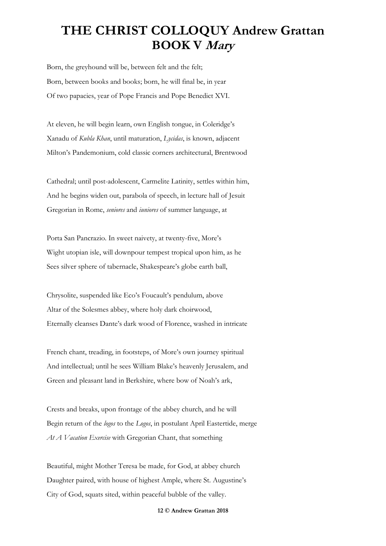Born, the greyhound will be, between felt and the felt; Born, between books and books; born, he will final be, in year Of two papacies, year of Pope Francis and Pope Benedict XVI.

At eleven, he will begin learn, own English tongue, in Coleridge's Xanadu of *Kubla Khan*, until maturation, *Lycidas*, is known, adjacent Milton's Pandemonium, cold classic corners architectural, Brentwood

Cathedral; until post-adolescent, Carmelite Latinity, settles within him, And he begins widen out, parabola of speech, in lecture hall of Jesuit Gregorian in Rome, *seniores* and *iuniores* of summer language, at

Porta San Pancrazio. In sweet naivety, at twenty-five, More's Wight utopian isle, will downpour tempest tropical upon him, as he Sees silver sphere of tabernacle, Shakespeare's globe earth ball,

Chrysolite, suspended like Eco's Foucault's pendulum, above Altar of the Solesmes abbey, where holy dark choirwood, Eternally cleanses Dante's dark wood of Florence, washed in intricate

French chant, treading, in footsteps, of More's own journey spiritual And intellectual; until he sees William Blake's heavenly Jerusalem, and Green and pleasant land in Berkshire, where bow of Noah's ark,

Crests and breaks, upon frontage of the abbey church, and he will Begin return of the *logos* to the *Logos*, in postulant April Eastertide, merge *At A Vacation Exercise* with Gregorian Chant, that something

Beautiful, might Mother Teresa be made, for God, at abbey church Daughter paired, with house of highest Ample, where St. Augustine's City of God, squats sited, within peaceful bubble of the valley.